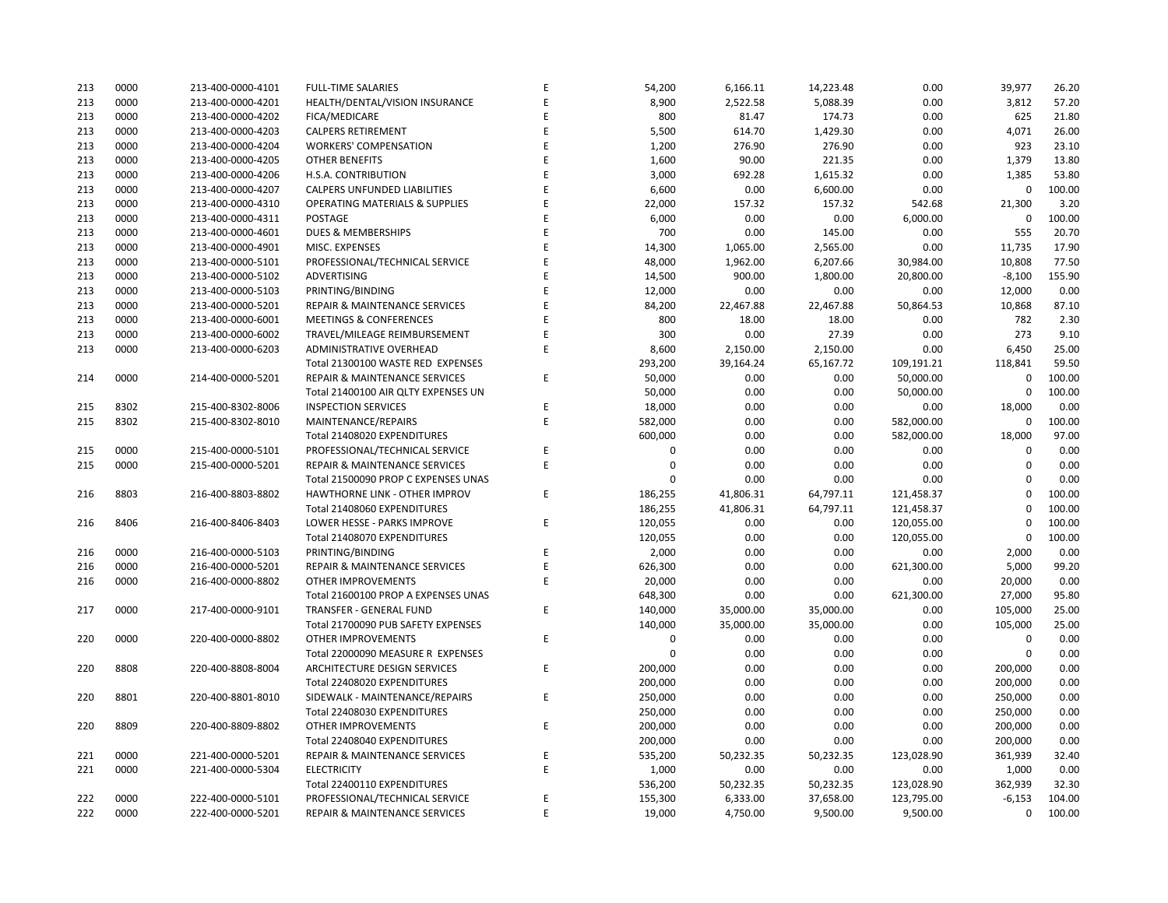## **CITY OF RANCHO PALOS VERDES SUMMARY OF EXPENDITURES - ALL FUNDS September 30, 2018**

|             |                                     |                       | FY 2018-19         |                    |                      | FY 2017-18  |                      |                          |           |
|-------------|-------------------------------------|-----------------------|--------------------|--------------------|----------------------|-------------|----------------------|--------------------------|-----------|
| <b>FUND</b> | <b>FUND DESCRIPTION</b>             | <b>REVISED BUDGET</b> | <b>YTD ACTUALS</b> | <b>YTD ENCUMB.</b> | <b>YTD ACTUALS +</b> | <b>USED</b> | <b>YTD ACTUALS +</b> | YEAR OVER YEAR CHANGE    |           |
|             | 101 GENERAL FUND                    |                       |                    |                    | <b>ENCUMB.</b>       |             | <b>ENCUMB.</b>       | <b>ACTUALS + ENCUMB.</b> |           |
|             | <b>CITY COUNCIL</b>                 | \$<br>154,600         | \$<br>$34,134$ \$  | $3,385$ \$         | 37,519               | 24.3%       | \$<br>42,818         | \$<br>(5, 299)           | $-12.4%$  |
|             | <b>LEGAL SERVICES</b>               | 925,000               | 223,600            | $\mathbf 0$        | 223,600              | 24.2%       | 263,908              | (40, 308)                | $-15.3%$  |
|             | <b>CITY CLERK</b>                   | 621,200               | 95,444             | 3,023              | 98,467               | 15.9%       | 159,289              | (60, 822)                | $-38.2%$  |
|             | <b>CITY MANAGER</b>                 | 856,500               | 191,402            | 41,255             | 232,657              | 27.2%       | 295,016              | (62, 359)                | $-21.1%$  |
|             | <b>CITY ADMINISTRATION</b>          | 555,750               | 69,987             | 40,632             | 110,619              | 19.9%       | 100,304              | 10,315                   | 10.3%     |
|             | <b>HUMAN RESOURCES</b>              | 365,600               | 75,422             | 7,908              | 83,330               | 22.8%       | 145,318              | (61, 987)                | $-42.7%$  |
|             | <b>INFORMATION TECHNOLOGIES</b>     | 1,251,513             | 219,853            | 280,992            | 500,845              | 40.0%       | 556,290              | (55, 445)                | $-10.0%$  |
|             | <b>FINANCE</b>                      | 1,604,950             | 300,991            | 79,923             | 380,914              | 23.7%       | 398,306              | (17, 393)                | $-4.4%$   |
|             | <b>PUBLIC WORKS</b>                 | 6,139,977             | 469,754            | 1,321,003          | 1,790,757            | 29.2%       | 2,292,123            | (501,366)                | $-21.9%$  |
|             | <b>COMMUNITY DEVELOPMENT</b>        | 3,798,174             | 631,545            | 643,797            | 1,275,341            | 33.6%       | 1,197,114            | 78,227                   | 6.5%      |
|             | <b>RECREATIONAL &amp; PARKS</b>     | 2,856,500             | 597,154            | 58,278             | 655,433              | 22.9%       | 741,444              | (86, 011)                | $-11.6%$  |
|             | <b>PUBLIC SAFETY</b>                | 7,726,750             | 1,146,126          | 6,463,120          | 7,609,246            | 98.5%       | 7,091,016            | 518,230                  | 7.3%      |
|             | NON-DEPARTMENTAL                    | 1,339,812             | 279,052            | 134,597            | 413,648              | 30.9%       | 850,052              | (436, 404)               | $-51.3%$  |
|             | <b>TRANSFERS OUT</b>                | 4,564,700             | 1,141,175          | $\mathbf 0$        | 1,141,175            | 25.0%       | 1,203,375            | (62, 200)                | $-5.2%$   |
|             | <b>TOTAL GENERAL FUND</b>           | 32,761,025            | 5,475,639          | 9,077,913          | 14,553,551           | 44.4%       | 15,336,374           | (782, 822)               | $-5.1%$   |
|             |                                     |                       |                    |                    |                      |             |                      |                          |           |
|             | <b>200 SPECIAL REVENUE FUNDS</b>    |                       |                    |                    |                      |             |                      |                          |           |
|             | 202 STREET MAINTENANCE              | 1,634,786             | 95,679             | 570,706            | 666,385              | 40.8%       | 1,512,225            | (845, 840)               | $-55.9%$  |
|             | 203 1972 ACT LANDSCAPING & LIGHTING | $\mathbf 0$           | $\mathbf 0$        | $\mathbf 0$        | $\mathsf{O}\xspace$  | 0.0%        | 2,537                | (2,537)                  | $-100.0%$ |
|             | 209 EL PRADO LIGHTING DISTRICT      | 800                   | 0                  | $\mathbf 0$        | $\mathbf 0$          | 0.0%        | 548                  | (548)                    | $-100.0%$ |
|             | 211 1911 ACT STREET LIGHTING        | 1,370,842             | 75,342             | 866,505            | 941,847              | 68.7%       | 122,691              | 819,155                  | 667.7%    |
|             | 212 BEAUTIFICATION                  | 447,169               | 55,484             | 220,753            | 276,237              | 61.8%       | 17,320               | 258,917                  | 1494.9%   |
|             | 213 WASTE REDUCTION                 | 317,100               | 43,731             | 92,081             | 135,812              | 42.8%       | 174,359              | (38, 547)                | $-22.1%$  |
|             | 214 AIR QUALITY MANAGEMENT          | 50,000                | 25,000             | 25,000             | 50,000               | 100.0%      | 50,000               | 0                        | 0.0%      |
|             | 215 PROPOSITION C                   | 1,100,000             | $\mathbf{0}$       | 78,000             | 78,000               | 7.1%        | 582,000              | (504,000)                | $-86.6%$  |
|             | 216 PROPOSITION A                   | 1,250,154             | 338,641            | 339,513            | 678,154              | 54.2%       | 927,610              | (249, 456)               | $-26.9%$  |
|             | 217 PUBLIC SAFETY GRANTS            | 130,000               | 32,500             | $\mathbf 0$        | 32,500               | 25.0%       | 35,000               | (2,500)                  | $-7.1%$   |
|             | 220 MEASURE R                       | 100,000               | $\mathbf 0$        | $\Omega$           | 0                    | 0.0%        | 0                    | 0                        | 0.0%      |
|             | 221 MEASURE M                       | 536,000               | 31,650             | 148,404            | 180,054              | 33.6%       | 173,261              | 6,793                    | 3.9%      |
|             | 222 HABITAT RESTORATION             | 179,500               | 37,374             | 112,126            | 149,500              | 83.3%       | 180,453              | (30, 953)                | $-17.2%$  |
|             | 223 SUBREGION ONE MAINTENANCE       | 46,800                | 3,113              | $\mathbf 0$        | 3,113                | 6.7%        | 28,327               | (25, 214)                | $-89.0%$  |
|             | 224 MEASURE A MAINTENANCE           | 90,000                | 22,500             | $\Omega$           | 22,500               | 25.0%       | 22,500               | 0                        | 0.0%      |
|             | 225 ABALONE COVE SEWER DISTRICT     | 431,906               | 5,384              | 6,159              | 11,543               | 2.7%        | 104,699              | (93, 156)                | $-89.0%$  |